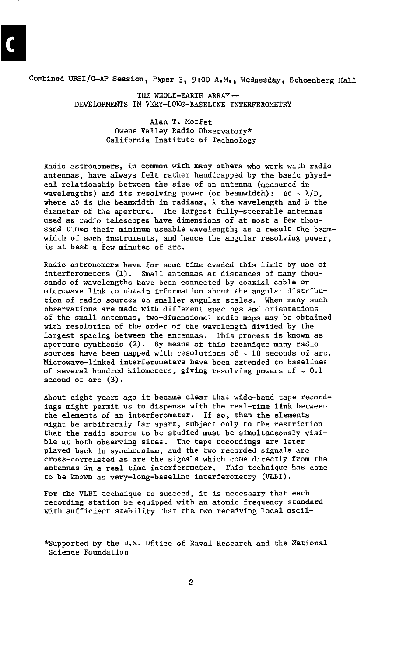Combined URSI/GAP Session, Paper **3.** *9:00* **A.M.,** Wedresday, Schoenberg **Hall**  THE WHOLE-EARTH **ARRAY** - DEVELOPMENTS IN VERY-LONG-BASELINE INTERFEROMETRY

> Owens Valley Radio Observatory\* Alan **T.** Moffet California Institute of Technology

Radio astronomers, in common with many others who work with radio antennas, have always felt rather handicapped by the basic physiwavelengths) and its resolving power (or beamwidth):  $\Delta\theta \sim \lambda/D$ , cal relationship between the size of an antenna (measured in where **A0** is the beamwidth in radians, **X** the wavelength and **D** the diameter *of* the aperture. The largest fully-steerable antennas used as radio telescopes have dimensions of at most a few thousand times their minimum useable wavelength; as a result the beamwidth of such instruments, and hence the angular resolving power, is at best a few minutes of arc.

Radio astronomers have for some time evaded this limit by use of interferometers **(1).** Small antennas at distances of many thousands of wavelengths have been connected by coaxial cable or microwave link to obtain information about the angular distribution of radio sources **on** smaller angular scales. When many such observations are made with different spacings and orientations of the **small** antennas, two-dimensional radio maps may be obtained with resolution of the order of the wavelength divided by the largest spacing between the antennas. This process is known as aperture synthesis **(2).** By means of this technique many radio sources have been mapped with resolutions of - **10** seconds of arc. Microwave-linked interferometers have been extended to baselines of several hundred kilometers, giving resolving powers of - **0.1**  second of arc **(3).** 

About eight years ago it became clear that wide-band tape recordings might permit **us** to dispense with the real-time link between might be arbitrarily far apart, subject only to the restriction the elements of an interferometer. If **so,** then the elements that the radio source to be studied must be simultaneously visible at both observing sites. The tape recordings are later played back in synchronism, and the *two* recorded signals are cross-correlated as are the signals which come directly from the antennas in a real-time interferometer. This technique has come to be known as very-long-baseline interferometry (VLBI).

For the VLBI technique to succeed, it is necessary that each with sufficient stability that the two receiving local oscilrecording station be equipped with an atomic frequency standard

\*Supported by the **U.S.** Office of Naval Research and the National Science Foundation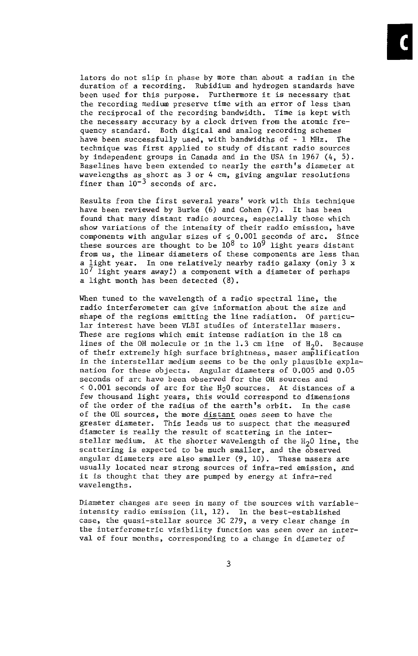lators do not slip in phase by more than about a radian in the duration of a recording. Rubidium and hydrogen standards have been used for this purpose. Furthermore it is necessary that the reciprocal of the recording bandwidth. Time is kept with the recording medium preserve time with an error of less than the necessary accuracy by a clock driven from the atomic frehave been successfully used, with bandwidths of - 1 **NHz.** The quency standard. Both digital and analog recording schemes by independent groups in Canada and in the **USA** in 1967 *(4, 5).*  technique was first applied to study of distant radio sources wavelengths as short as 3 or *4* cm, giving angular resolutions Baselines have been extended to nearly the earth's diameter at finer than  $10^{-3}$  seconds of arc.

have been reviewed by Burke (6) and Cohen **(7).** It has been Results from the first several years' work with this technique show variations of the intensity of their radio emission, have found that many distant radio sources, especially those which components with angular sizes uf *s* 0.001 seconds of arc. Since these sources are thought to be  $10^8$  to  $10^9$  light years distant from us, the linear diameters of these components are less than a light year. In one relatively nearby radio galaxy (only 3 **x**  lo7 light years away:) a component with a diameter of perhaps a light month has been detected (8).

When tuned to the wavelength of a radio spectral line, the radio interferometer can give information about the size and shape of the regions emitting the line radiation. Of particular interest have been VLBI studies of interstellar masers. These are regions which emit intense radiation in the 18 cm lines of the OH molecule or in the 1.3 cm line of H<sub>2</sub>0. Because of their extremely high surface brightness, maser amplification in the interstellar medium seems to be the only plausible explanation for these objects. Angular diaaeters of 0.005 and 0.05 seconds of arc have been observed for the OH sources and < 0.001 seconds of arc for the H<sub>2</sub>0 sources. At distances of a few thousand light years, this would correspond to dimensions of the OH sources, the more distant ones seem to have the of the order of the radius of the earth's orbit. In the case greater diameter, This leads us to suspect that the measured diameter is really the result of scattering in the interstellar medium. At the shorter wavelength of the H<sub>2</sub>0 line, the scattering is expected to be much smaller, and the observed angular diameters are also smaller (9, 10). These masers are usually located near strong sources *of* infra-red emission, and it is thought that they are pumped by energy at infra-red wavelengths.

Diameter changes are seen in many of the sources with variableintensity radio emission (11, 12). In the best-established case, the quasi-stellar source 3C 279, a very clear change in the interferometric visibility function was seen over an interval of four months, corresponding to a change in diameter of